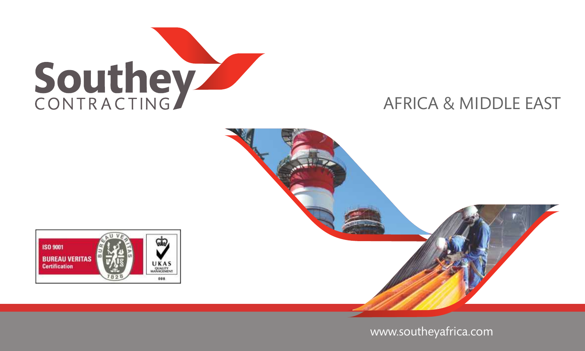





www.southeyafrica.com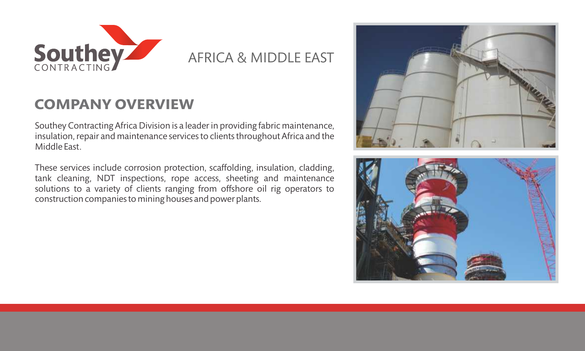

## **COMPANY OVERVIEW**

Southey Contracting Africa Division is a leader in providing fabric maintenance, insulation, repair and maintenance services to clients throughout Africa and the Middle East.

These services include corrosion protection, scaffolding, insulation, cladding, tank cleaning, NDT inspections, rope access, sheeting and maintenance solutions to a variety of clients ranging from offshore oil rig operators to construction companies to mining houses and power plants.



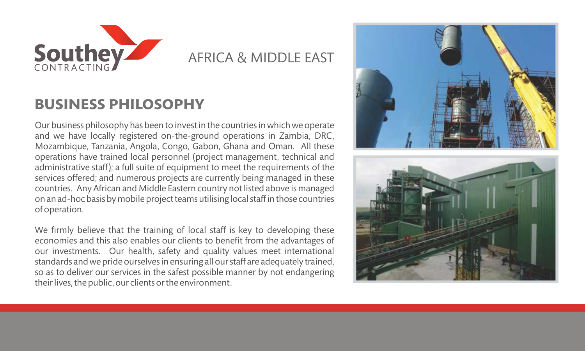

### **BUSINESS PHILOSOPHY**

Our business philosophy has been to invest in the countries in which we operate and we have locally registered on-the-ground operations in Zambia, DRC, Mozambique, Tanzania, Angola, Congo, Gabon, Ghana and Oman. All these operations have trained local personnel (project management, technical and administrative staff); a full suite of equipment to meet the requirements of the services offered; and numerous projects are currently being managed in these countries. Any African and Middle Eastern country not listed above is managed on an ad-hoc basis by mobile project teams utilising local staff in those countries of operation.

We firmly believe that the training of local staff is key to developing these economies and this also enables our clients to benefit from the advantages of our investments. Our health, safety and quality values meet international standards and we pride ourselves in ensuring all our staff are adequately trained, so as to deliver our services in the safest possible manner by not endangering their lives, the public, our clients or the environment.

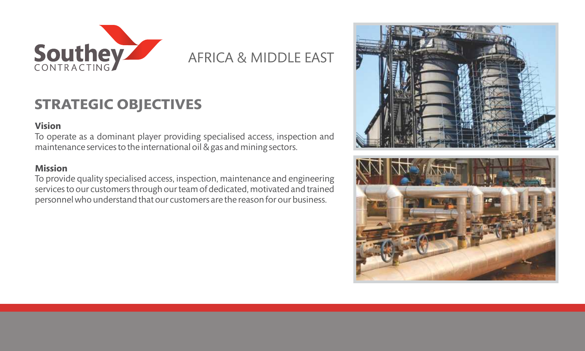

## **STRATEGIC OBJECTIVES**

### **Vision**

To operate as a dominant player providing specialised access, inspection and maintenance services to the international oil & gas and mining sectors.

### **Mission**

To provide quality specialised access, inspection, maintenance and engineering services to our customers through our team of dedicated, motivated and trained personnel who understand that our customers are the reason for our business.

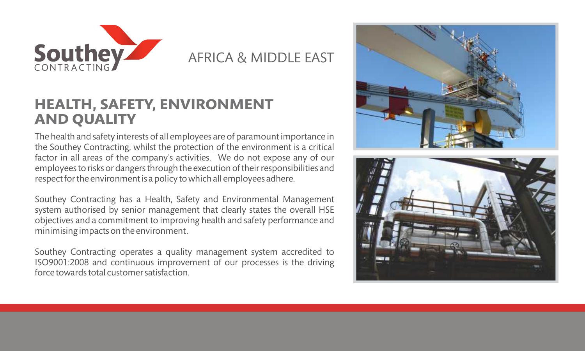

## **HEALTH, SAFETY, ENVIRONMENT AND QUALITY**

The health and safety interests of all employees are of paramount importance in the Southey Contracting, whilst the protection of the environment is a critical factor in all areas of the company's activities. We do not expose any of our employees to risks or dangers through the execution of their responsibilities and respect for the environment is a policy to which all employees adhere.

Southey Contracting has a Health, Safety and Environmental Management system authorised by senior management that clearly states the overall HSE objectives and a commitment to improving health and safety performance and minimising impacts on the environment.

Southey Contracting operates a quality management system accredited to ISO9001:2008 and continuous improvement of our processes is the driving force towards total customer satisfaction.



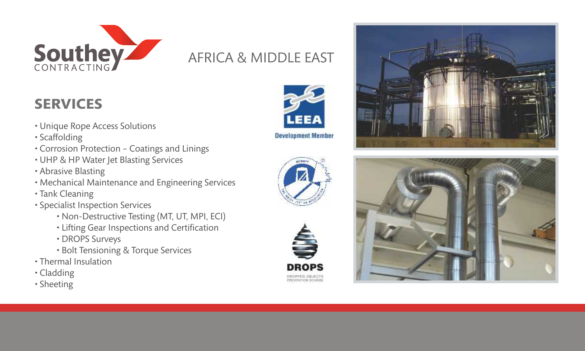

# **SERVICES**

- Unique Rope Access Solutions
- Scaffolding
- Corrosion Protection Coatings and Linings
- UHP & HP Water Jet Blasting Services
- Abrasive Blasting
- Mechanical Maintenance and Engineering Services
- Tank Cleaning
- Specialist Inspection Services
	- Non-Destructive Testing (MT, UT, MPI, ECI)
	- Lifting Gear Inspections and Certification
	- DROPS Surveys
	- Bolt Tensioning & Torque Services
- Thermal Insulation
- Cladding
- Sheeting









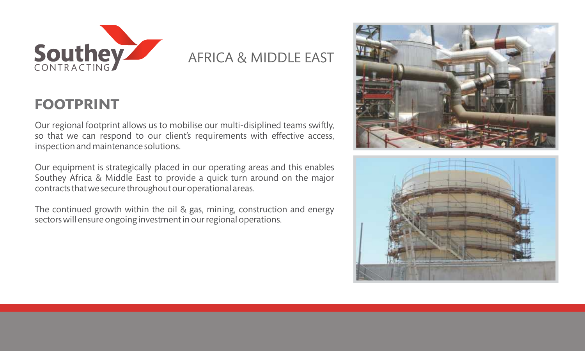

## **FOOTPRINT**

Our regional footprint allows us to mobilise our multi-disiplined teams swiftly, so that we can respond to our client's requirements with effective access, inspection and maintenance solutions.

Our equipment is strategically placed in our operating areas and this enables Southey Africa & Middle East to provide a quick turn around on the major contracts that we secure throughout our operational areas.

The continued growth within the oil & gas, mining, construction and energy sectors will ensure ongoing investment in our regional operations.



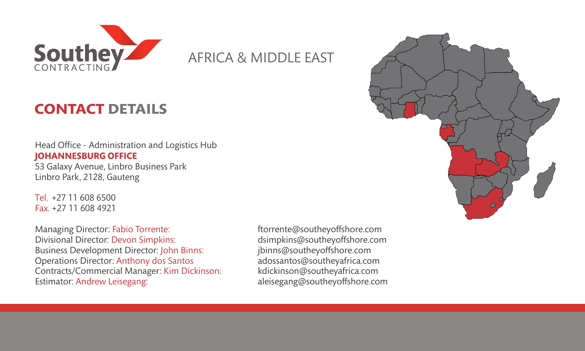

# **CONTACT DETAILS**

Head Office - Administration and Logistics Hub 53 Galaxy Avenue, Linbro Business Park Linbro Park, 2128, Gauteng **JOHANNESBURG OFFICE**

+27 11 608 6500 Tel. +27 11 608 4921 Fax.

Managing Director: Fabio Torrente: ftorrente@southeyoffshore.com Business Development Director: jbinns@southeyoffshore.com John Binns: Operations Director: Anthony dos Santos adossantos@southeyafrica.com Contracts/Commercial Manager: Kim Dickinson: kdickinson@southeyafrica.com Divisional Director: Devon Simpkins: Estimator: Andrew Leisegang:

dsimpkins@southeyoffshore.com<br>jbinns@southeyoffshore.com aleisegang@southeyoffshore.com

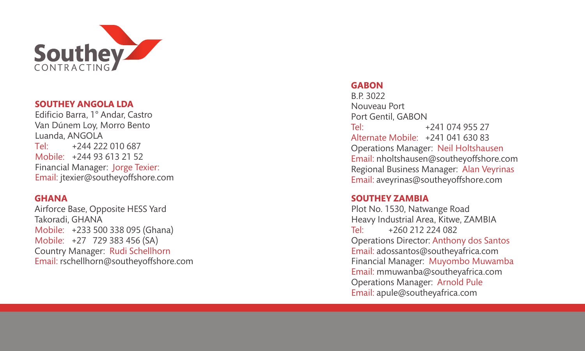

#### **SOUTHEY ANGOLA LD A**

Tel: Mobile: +244 93 613 21 52 Financial Manager: Jorge Texier: Email: jtexier@southeyoffshore.com Edificio Barr a, 1° Andar, Castr o Van Dúnem Lo y, Morro Bento Luanda, ANGOLA +244 222 010 687

#### **GHANA**

Mobile: +233 500 338 095 (Ghana) Airforce Base, Opposite HESS Yard Takoradi, GHANA +27 729 383 456 (SA ) Mobile: Country Manager: Rudi Schellhorn Email: rschellhorn@southeyoffshore.com

### **GABON**

Tel: Alternate Mobile: +241 041 630 83 Operations Manager: Neil Holtshausen Email: nholtshausen@southeyoffshore.com Regional Business Manager: Alan Veyrinas Email: aveyrinas@southeyoffshore.com B.P. 3022 Nouveau Port Port Gentil, GABON +241 074 955 27

#### **SOUTHEY ZAMBIA**

Tel: Plot No. 1530, Natwange Road Heavy Industrial Area, Kitwe, ZAMBIA +260 212 224 082 Operations Director: Anthony dos Santos Email: adossantos@southeyafrica.com Financial Manager: Muyombo Muwamba Email: mmuwanba@southeyafrica.com Operations Manager: Arnold Pule Email: apule@southeyafrica.com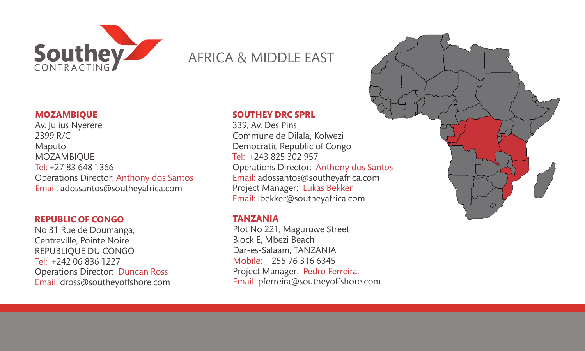

#### **SOUTHEY DRC SPRL**

Tel: +243 825 302 957 Operations Director: Anthony dos Santos Email: adossantos@southeyafrica.com Project Manager: Lukas Bekker Email: lbekker@southeyafrica.com 339, Av. Des Pins Commune de Dilala, Kolwezi Democratic Republic of Congo

#### **TANZANIA**

Mobile: +255 76 316 6345 Project Manager: Pedro Ferreira: Email: pferreira@southeyoffshore.com Plot No 221, Maguruwe Street Block E, Mbezi Beach Dar-es-Salaam, TANZANIA



### **MOZAMBIQUE**

Tel: +27 83 648 1366 Av. Julius Nyerere 2399 R/C Maputo MOZAMBIQUE Operations Director: Anthony dos Santos Email: adossantos@southeyafrica.com

#### **REPUBLIC OF CONGO**

Tel: +242 06 836 1227 No 31 Rue de Doumanga, Centreville, Pointe Noire REPUBLIQUE DU CONGO Operations Director: Duncan Ross Email: dross@southeyoffshore.com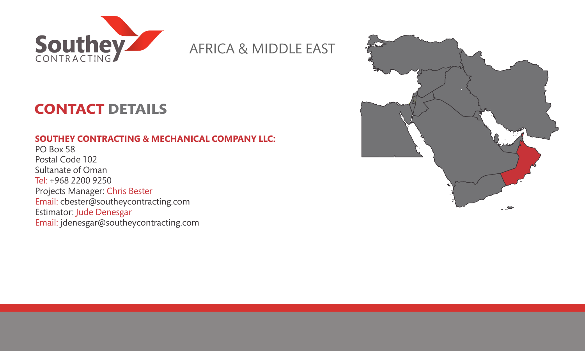

# **CONTACT DETAILS**

### **SOUTHEY CONTRACTING & MECHANICAL COMPANY LLC:**

Tel: +968 2200 9250 PO Box 58 Postal Code 102 Sultanate of Oman Projects Manager: Chris Bester Email: cbester@southeycontracting.com Estimator: Jude Denesgar Email: jdenesgar@southeycontracting.com